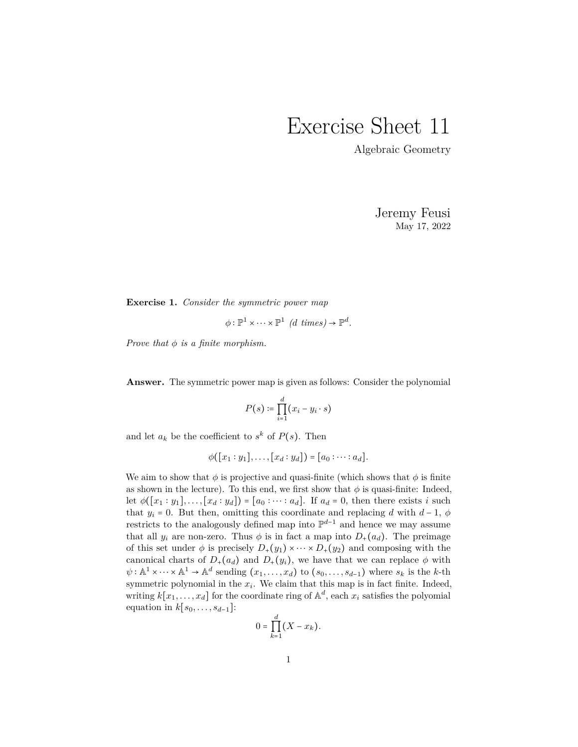## Exercise Sheet 11

Algebraic Geometry

Jeremy Feusi May 17, 2022

**Exercise 1.** *Consider the symmetric power map*

$$
\phi: \mathbb{P}^1 \times \cdots \times \mathbb{P}^1 \ (d \ times) \to \mathbb{P}^d.
$$

*Prove that*  $\phi$  *is a finite morphism.* 

**Answer.** The symmetric power map is given as follows: Consider the polynomial

$$
P(s) \coloneqq \prod_{i=1}^d (x_i - y_i \cdot s)
$$

and let  $a_k$  be the coefficient to  $s^k$  of  $P(s)$ . Then

 $\phi([x_1 : y_1], \ldots, [x_d : y_d]) = [a_0 : \cdots : a_d].$ 

We aim to show that  $\phi$  is projective and quasi-finite (which shows that  $\phi$  is finite as shown in the lecture). To this end, we first show that  $\phi$  is quasi-finite: Indeed, let  $\phi([x_1:y_1],\ldots,[x_d:y_d])=[a_0:\cdots:a_d]$ . If  $a_d=0$ , then there exists *i* such that  $y_i = 0$ . But then, omitting this coordinate and replacing *d* with  $d-1$ ,  $\phi$ restricts to the analogously defined map into  $\mathbb{P}^{d-1}$  and hence we may assume that all  $y_i$  are non-zero. Thus  $\phi$  is in fact a map into  $D_+(a_d)$ . The preimage of this set under  $\phi$  is precisely  $D_+(y_1) \times \cdots \times D_+(y_2)$  and composing with the canonical charts of  $D_+(a_d)$  and  $D_+(y_i)$ , we have that we can replace  $\phi$  with  $\psi: \mathbb{A}^1 \times \cdots \times \mathbb{A}^1 \to \mathbb{A}^d$  sending  $(x_1, \ldots, x_d)$  to  $(s_0, \ldots, s_{d-1})$  where  $s_k$  is the *k*-th symmetric polynomial in the  $x_i$ . We claim that this map is in fact finite. Indeed, writing  $k[x_1, \ldots, x_d]$  for the coordinate ring of  $\mathbb{A}^d$ , each  $x_i$  satisfies the polyomial equation in  $k[s_0, \ldots, s_{d-1}]$ :

$$
0=\prod_{k=1}^d(X-x_k).
$$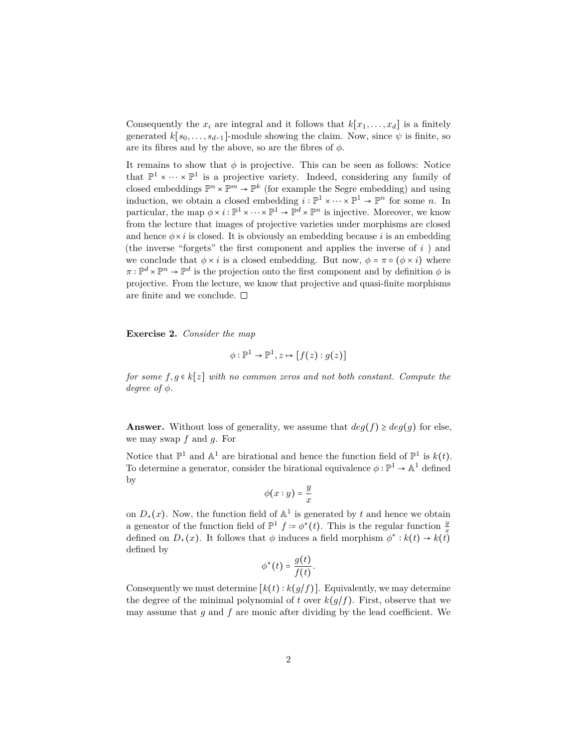Consequently the  $x_i$  are integral and it follows that  $k[x_1, \ldots, x_d]$  is a finitely generated  $k[s_0, \ldots, s_{d-1}]$ -module showing the claim. Now, since  $\psi$  is finite, so are its fibres and by the above, so are the fibres of  $\phi$ .

It remains to show that  $\phi$  is projective. This can be seen as follows: Notice that  $\mathbb{P}^1 \times \cdots \times \mathbb{P}^1$  is a projective variety. Indeed, considering any family of closed embeddings  $\mathbb{P}^n \times \mathbb{P}^m \to \mathbb{P}^k$  (for example the Segre embedding) and using induction, we obtain a closed embedding  $i : \mathbb{P}^1 \times \cdots \times \mathbb{P}^1 \to \mathbb{P}^n$  for some *n*. In particular, the map  $\phi \times i : \mathbb{P}^1 \times \cdots \times \mathbb{P}^1 \to \mathbb{P}^d \times \mathbb{P}^n$  is injective. Moreover, we know from the lecture that images of projective varieties under morphisms are closed and hence  $\phi \times i$  is closed. It is obviously an embedding because *i* is an embedding (the inverse "forgets" the first component and applies the inverse of *i* ) and we conclude that  $\phi \times i$  is a closed embedding. But now,  $\phi = \pi \circ (\phi \times i)$  where  $\pi : \mathbb{P}^d \times \mathbb{P}^n \to \mathbb{P}^d$  is the projection onto the first component and by definition  $\phi$  is projective. From the lecture, we know that projective and quasi-finite morphisms are finite and we conclude.  $\Box$ 

**Exercise 2.** *Consider the map*

$$
\phi : \mathbb{P}^1 \to \mathbb{P}^1, z \mapsto [f(z) : g(z)]
$$

*for some*  $f, g \in k[z]$  *with no common zeros and not both constant. Compute the degree of*  $\phi$ *.* 

**Answer.** Without loss of generality, we assume that  $deg(f) \geq deg(q)$  for else, we may swap *f* and *g*. For

Notice that  $\mathbb{P}^1$  and  $\mathbb{A}^1$  are birational and hence the function field of  $\mathbb{P}^1$  is  $k(t)$ . To determine a generator, consider the birational equivalence  $\phi : \mathbb{P}^1 \to \mathbb{A}^1$  defined by

$$
\phi(x:y) = \frac{y}{x}
$$

on  $D_+(x)$ . Now, the function field of  $\mathbb{A}^1$  is generated by *t* and hence we obtain a geneator of the function field of  $\mathbb{P}^1$  *f* :=  $\phi^*(t)$ . This is the regular function  $\frac{y}{x}$ defined on  $D_+(x)$ . It follows that  $\phi$  induces a field morphism  $\phi^*: k(t) \to k(t)$ defined by

$$
\phi^*(t) = \frac{g(t)}{f(t)}.
$$

Consequently we must determine  $[k(t):k(g/f)]$ . Equivalently, we may determine the degree of the minimal polynomial of *t* over  $k(g/f)$ . First, observe that we may assume that *g* and *f* are monic after dividing by the lead coefficient. We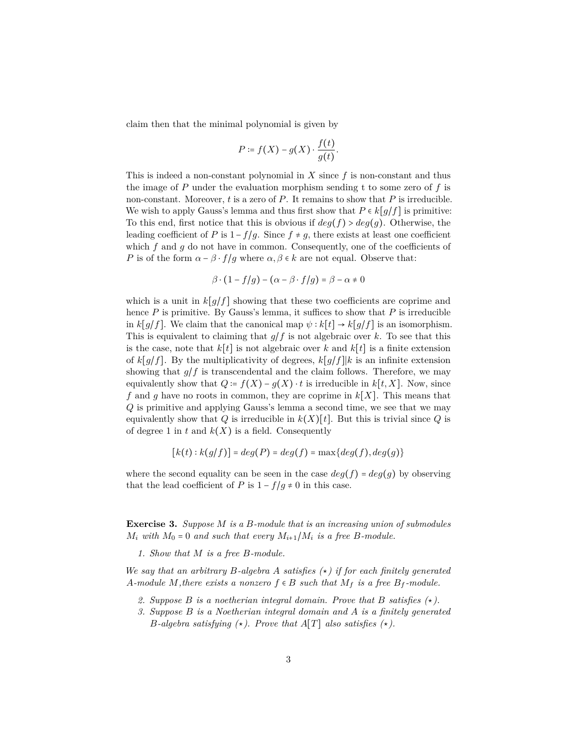claim then that the minimal polynomial is given by

$$
P \coloneqq f(X) - g(X) \cdot \frac{f(t)}{g(t)}.
$$

This is indeed a non-constant polynomial in *X* since *f* is non-constant and thus the image of *P* under the evaluation morphism sending t to some zero of *f* is non-constant. Moreover, *t* is a zero of *P*. It remains to show that *P* is irreducible. We wish to apply Gauss's lemma and thus first show that  $P \in k[g/f]$  is primitive: To this end, first notice that this is obvious if  $deg(f) > deg(g)$ . Otherwise, the leading coefficient of *P* is  $1 - f/g$ . Since  $f \neq g$ , there exists at least one coefficient which *f* and *g* do not have in common. Consequently, one of the coefficients of *P* is of the form  $\alpha - \beta \cdot f/g$  where  $\alpha, \beta \in k$  are not equal. Observe that:

$$
\beta \cdot (1 - f/g) - (\alpha - \beta \cdot f/g) = \beta - \alpha \neq 0
$$

which is a unit in  $k[g/f]$  showing that these two coefficients are coprime and hence  $P$  is primitive. By Gauss's lemma, it suffices to show that  $P$  is irreducible in *k*[*g*/*f*]. We claim that the canonical map  $\psi : k[t] \to k[g/f]$  is an isomorphism. This is equivalent to claiming that  $g/f$  is not algebraic over *k*. To see that this is the case, note that  $k[t]$  is not algebraic over  $k$  and  $k[t]$  is a finite extension of *k*[*g*/*f*]. By the multiplicativity of degrees, *k*[*g*/*f*]∣*k* is an infinite extension showing that  $g/f$  is transcendental and the claim follows. Therefore, we may equivalently show that  $Q := f(X) - g(X) \cdot t$  is irreducible in  $k[t, X]$ . Now, since *f* and *g* have no roots in common, they are coprime in  $k[X]$ . This means that *Q* is primitive and applying Gauss's lemma a second time, we see that we may equivalently show that *Q* is irreducible in  $k(X)[t]$ . But this is trivial since *Q* is of degree 1 in  $t$  and  $k(X)$  is a field. Consequently

$$
[k(t):k(g/f)] = deg(P) = deg(f) = max\{deg(f), deg(g)\}\
$$

where the second equality can be seen in the case  $deg(f) = deg(g)$  by observing that the lead coefficient of *P* is  $1 - f/g \neq 0$  in this case.

**Exercise 3.** *Suppose M is a B-module that is an increasing union of submodules M*<sub>*i*</sub> *with*  $M_0 = 0$  *and such that every*  $M_{i+1}/M_i$  *is a free B-module.* 

*1. Show that M is a free B-module.*

*We say that an arbitrary B-algebra A satisfies (*⋆*) if for each finitely generated A*-module *M*, there exists a nonzero  $f \in B$  such that  $M_f$  is a free  $B_f$ -module.

- *2. Suppose B is a noetherian integral domain. Prove that B satisfies (*⋆*).*
- *3. Suppose B is a Noetherian integral domain and A is a finitely generated B*-algebra satisfying  $(\star)$ . Prove that  $A[T]$  also satisfies  $(\star)$ .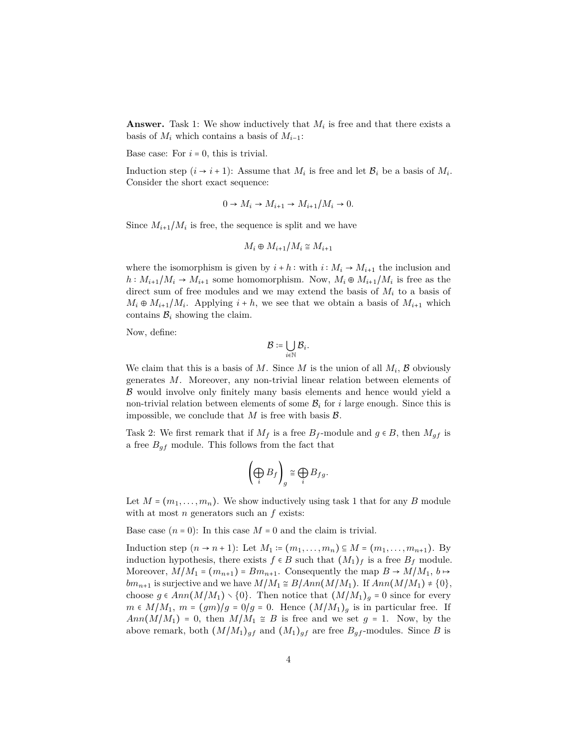**Answer.** Task 1: We show inductively that  $M_i$  is free and that there exists a basis of  $M_i$  which contains a basis of  $M_{i-1}$ :

Base case: For  $i = 0$ , this is trivial.

Induction step  $(i \rightarrow i+1)$ : Assume that  $M_i$  is free and let  $B_i$  be a basis of  $M_i$ . Consider the short exact sequence:

$$
0 \to M_i \to M_{i+1} \to M_{i+1}/M_i \to 0.
$$

Since  $M_{i+1}/M_i$  is free, the sequence is split and we have

$$
M_i \oplus M_{i+1}/M_i \cong M_{i+1}
$$

where the isomorphism is given by  $i + h$ : with  $i : M_i \rightarrow M_{i+1}$  the inclusion and  $h: M_{i+1}/M_i \rightarrow M_{i+1}$  some homomorphism. Now,  $M_i \oplus M_{i+1}/M_i$  is free as the direct sum of free modules and we may extend the basis of *M<sup>i</sup>* to a basis of  $M_i \oplus M_{i+1}/M_i$ . Applying  $i + h$ , we see that we obtain a basis of  $M_{i+1}$  which contains  $B_i$  showing the claim.

Now, define:

$$
\mathcal{B} \coloneqq \bigcup_{i \in \mathbb{N}} \mathcal{B}_i.
$$

We claim that this is a basis of  $M$ . Since  $M$  is the union of all  $M_i$ ,  $\beta$  obviously generates *M*. Moreover, any non-trivial linear relation between elements of B would involve only finitely many basis elements and hence would yield a non-trivial relation between elements of some  $B_i$  for *i* large enough. Since this is impossible, we conclude that  $M$  is free with basis  $\mathcal{B}$ .

Task 2: We first remark that if  $M_f$  is a free  $B_f$ -module and  $g \in B$ , then  $M_{gf}$  is a free *Bgf* module. This follows from the fact that

$$
\left(\bigoplus_i B_f\right)_g \cong \bigoplus_i B_{fg}.
$$

Let  $M = (m_1, \ldots, m_n)$ . We show inductively using task 1 that for any *B* module with at most *n* generators such an *f* exists:

Base case  $(n = 0)$ : In this case  $M = 0$  and the claim is trivial.

Induction step  $(n \to n + 1)$ : Let  $M_1$  :=  $(m_1, ..., m_n)$  ⊆  $M = (m_1, ..., m_{n+1})$ . By induction hypothesis, there exists  $f \in B$  such that  $(M_1)_f$  is a free  $B_f$  module. Moreover,  $M/M_1 = (m_{n+1}) = Bm_{n+1}$ . Consequently the map  $B \to M/M_1$ ,  $b \mapsto$ *bm*<sub>*n*+1</sub> is surjective and we have  $M/M_1 \cong B/Ann(M/M_1)$ . If  $Ann(M/M_1) \neq \{0\}$ , choose  $g \in Ann(M/M_1) \setminus \{0\}$ . Then notice that  $(M/M_1)_{g} = 0$  since for every  $m \in M/M_1$ ,  $m = (gm)/g = 0/g = 0$ . Hence  $(M/M_1)g$  is in particular free. If  $Ann(M/M_1) = 0$ , then  $M/M_1 \cong B$  is free and we set  $g = 1$ . Now, by the above remark, both  $(M/M_1)_{gf}$  and  $(M_1)_{gf}$  are free  $B_{gf}$ -modules. Since *B* is